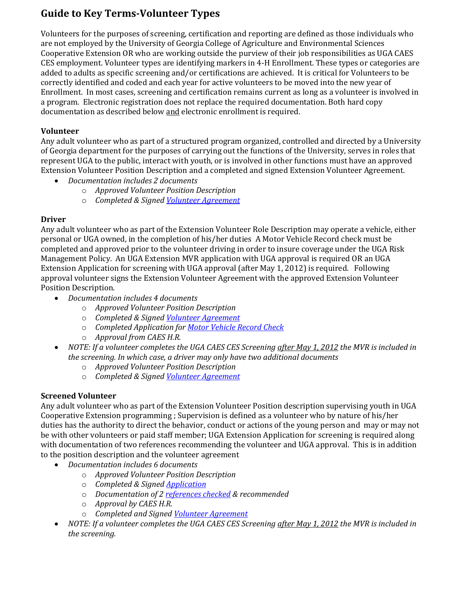# **Guide to Key Terms-Volunteer Types**

Volunteers for the purposes of screening, certification and reporting are defined as those individuals who are not employed by the University of Georgia College of Agriculture and Environmental Sciences Cooperative Extension OR who are working outside the purview of their job responsibilities as UGA CAES CES employment. Volunteer types are identifying markers in 4-H Enrollment. These types or categories are added to adults as specific screening and/or certifications are achieved. It is critical for Volunteers to be correctly identified and coded and each year for active volunteers to be moved into the new year of Enrollment. In most cases, screening and certification remains current as long as a volunteer is involved in a program. Electronic registration does not replace the required documentation. Both hard copy documentation as described below and electronic enrollment is required.

## **Volunteer**

Any adult volunteer who as part of a structured program organized, controlled and directed by a University of Georgia department for the purposes of carrying out the functions of the University, serves in roles that represent UGA to the public, interact with youth, or is involved in other functions must have an approved Extension Volunteer Position Description and a completed and signed Extension Volunteer Agreement.

- *Documentation includes 2 documents*
	- o *Approved Volunteer Position Description*
	- o *Completed & Signed [Volunteer Agreement](VolunteerAgreementRevision42012.pdf)*

### **Driver**

Any adult volunteer who as part of the Extension Volunteer Role Description may operate a vehicle, either personal or UGA owned, in the completion of his/her duties A Motor Vehicle Record check must be completed and approved prior to the volunteer driving in order to insure coverage under the UGA Risk Management Policy. An UGA Extension MVR application with UGA approval is required OR an UGA Extension Application for screening with UGA approval (after May 1, 2012) is required. Following approval volunteer signs the Extension Volunteer Agreement with the approved Extension Volunteer Position Description.

- *Documentation includes 4 documents*
	- o *Approved Volunteer Position Description*
	- o *Completed & Signed [Volunteer Agreement](file:///C:/Users/jenny/Documents/Websites/public/guidebook/UpdatestoPoliciesApril2012/VolunteerAgreementRevision42012.pdf)*
	- o *Completed Application for [Motor Vehicle Record Check](MVRCrevised51112.pdf)*
	- o *Approval from CAES H.R.*
- *NOTE: If a volunteer completes the UGA CAES CES Screening after May 1, 2012 the MVR is included in the screening. In which case, a driver may only have two additional documents*
	- o *Approved Volunteer Position Description*
	- o *Completed & Signed [Volunteer Agreement](file:///C:/Users/jenny/Documents/Websites/public/guidebook/UpdatestoPoliciesApril2012/VolunteerAgreementRevision42012.pdf)*

## **Screened Volunteer**

Any adult volunteer who as part of the Extension Volunteer Position description supervising youth in UGA Cooperative Extension programming ; Supervision is defined as a volunteer who by nature of his/her duties has the authority to direct the behavior, conduct or actions of the young person and may or may not be with other volunteers or paid staff member; UGA Extension Application for screening is required along with documentation of two references recommending the volunteer and UGA approval. This is in addition to the position description and the volunteer agreement

- *Documentation includes 6 documents*
	- o *Approved Volunteer Position Description*
	- o *Completed & Signed [Application](volunteerapplicationrevised5112012.pdf)*
	- o *Documentation of [2 references checked](../REFERENC.pdf) & recommended*
	- o *Approval by CAES H.R.*
	- o *Completed and Signed [Volunteer Agreement](file:///C:/Users/jenny/Documents/Websites/public/guidebook/UpdatestoPoliciesApril2012/VolunteerAgreementRevision42012.pdf)*
- *NOTE: If a volunteer completes the UGA CAES CES Screening after May 1, 2012 the MVR is included in the screening.*